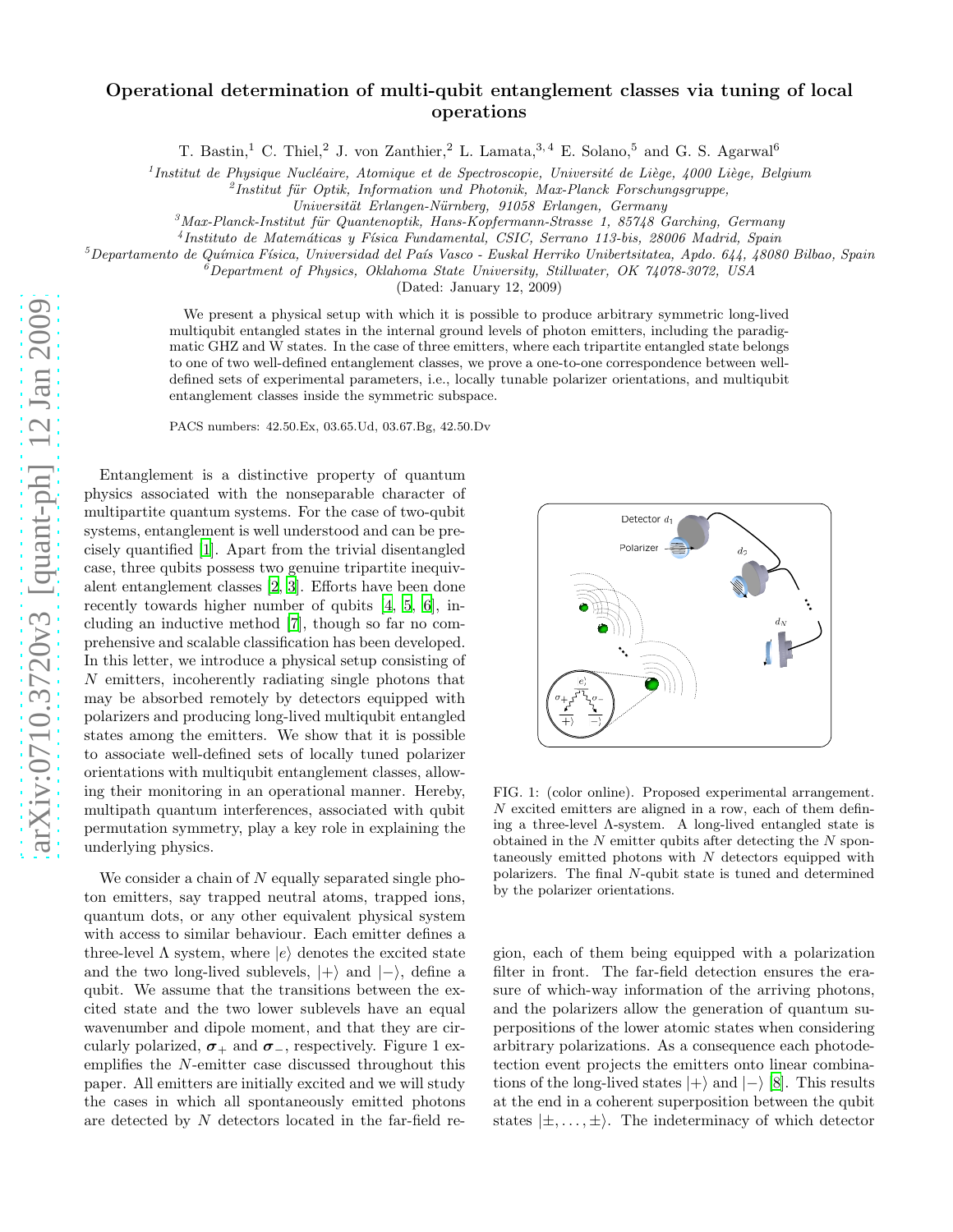## arXiv:0710.3720v3 [quant-ph] 12 Jan 2009 [arXiv:0710.3720v3 \[quant-ph\] 12 Jan 2009](http://arXiv.org/abs/0710.3720v3)

## Operational determination of multi-qubit entanglement classes via tuning of local operations

T. Bastin,<sup>1</sup> C. Thiel,<sup>2</sup> J. von Zanthier,<sup>2</sup> L. Lamata,<sup>3,4</sup> E. Solano,<sup>5</sup> and G. S. Agarwal<sup>6</sup>

<sup>1</sup> Institut de Physique Nucléaire, Atomique et de Spectroscopie, Université de Liège, 4000 Liège, Belgium

<sup>2</sup> Institut für Optik, Information und Photonik, Max-Planck Forschungsgruppe,

*Universit¨at Erlangen-N¨urnberg, 91058 Erlangen, Germany*

<sup>3</sup> Max-Planck-Institut für Quantenoptik, Hans-Kopfermann-Strasse 1, 85748 Garching, Germany

4 *Instituto de Matem´aticas y F´ısica Fundamental, CSIC, Serrano 113-bis, 28006 Madrid, Spain*

<sup>5</sup>*Departamento de Qu´ımica F´ısica, Universidad del Pa´ıs Vasco - Euskal Herriko Unibertsitatea, Apdo. 644, 48080 Bilbao, Spain*

<sup>6</sup>*Department of Physics, Oklahoma State University, Stillwater, OK 74078-3072, USA*

(Dated: January 12, 2009)

We present a physical setup with which it is possible to produce arbitrary symmetric long-lived multiqubit entangled states in the internal ground levels of photon emitters, including the paradigmatic GHZ and W states. In the case of three emitters, where each tripartite entangled state belongs to one of two well-defined entanglement classes, we prove a one-to-one correspondence between welldefined sets of experimental parameters, i.e., locally tunable polarizer orientations, and multiqubit entanglement classes inside the symmetric subspace.

PACS numbers: 42.50.Ex, 03.65.Ud, 03.67.Bg, 42.50.Dv

Entanglement is a distinctive property of quantum physics associated with the nonseparable character of multipartite quantum systems. For the case of two-qubit systems, entanglement is well understood and can be precisely quantified [\[1](#page-3-0)]. Apart from the trivial disentangled case, three qubits possess two genuine tripartite inequivalent entanglement classes [\[2](#page-3-1), [3](#page-3-2)]. Efforts have been done recently towards higher number of qubits [\[4](#page-3-3), [5,](#page-3-4) [6](#page-3-5)], including an inductive method [\[7\]](#page-3-6), though so far no comprehensive and scalable classification has been developed. In this letter, we introduce a physical setup consisting of N emitters, incoherently radiating single photons that may be absorbed remotely by detectors equipped with polarizers and producing long-lived multiqubit entangled states among the emitters. We show that it is possible to associate well-defined sets of locally tuned polarizer orientations with multiqubit entanglement classes, allowing their monitoring in an operational manner. Hereby, multipath quantum interferences, associated with qubit permutation symmetry, play a key role in explaining the underlying physics.

We consider a chain of  $N$  equally separated single photon emitters, say trapped neutral atoms, trapped ions, quantum dots, or any other equivalent physical system with access to similar behaviour. Each emitter defines a three-level  $\Lambda$  system, where  $|e\rangle$  denotes the excited state and the two long-lived sublevels,  $|+\rangle$  and  $|-\rangle$ , define a qubit. We assume that the transitions between the excited state and the two lower sublevels have an equal wavenumber and dipole moment, and that they are circularly polarized,  $\sigma_+$  and  $\sigma_-$ , respectively. Figure 1 exemplifies the N-emitter case discussed throughout this paper. All emitters are initially excited and we will study the cases in which all spontaneously emitted photons are detected by N detectors located in the far-field re-



FIG. 1: (color online). Proposed experimental arrangement. N excited emitters are aligned in a row, each of them defining a three-level Λ-system. A long-lived entangled state is obtained in the  $N$  emitter qubits after detecting the  $N$  spontaneously emitted photons with  $N$  detectors equipped with polarizers. The final N-qubit state is tuned and determined by the polarizer orientations.

gion, each of them being equipped with a polarization filter in front. The far-field detection ensures the erasure of which-way information of the arriving photons, and the polarizers allow the generation of quantum superpositions of the lower atomic states when considering arbitrary polarizations. As a consequence each photodetection event projects the emitters onto linear combinations of the long-lived states  $|+\rangle$  and  $|-\rangle$  [\[8\]](#page-3-7). This results at the end in a coherent superposition between the qubit states  $|\pm,...,\pm\rangle$ . The indeterminacy of which detector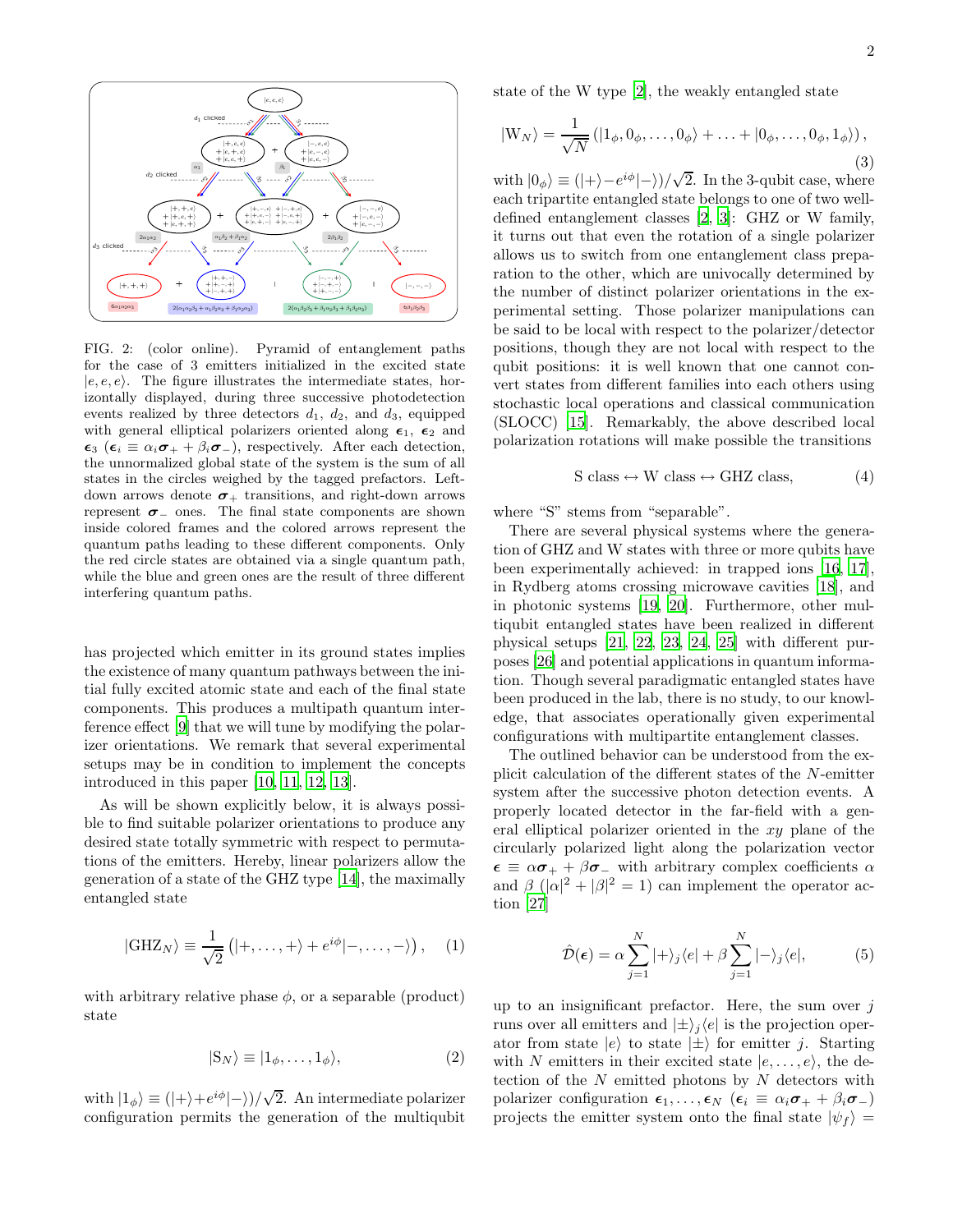

<span id="page-1-0"></span>FIG. 2: (color online). Pyramid of entanglement paths for the case of 3 emitters initialized in the excited state  $|e, e, e\rangle$ . The figure illustrates the intermediate states, horizontally displayed, during three successive photodetection events realized by three detectors  $d_1$ ,  $d_2$ , and  $d_3$ , equipped with general elliptical polarizers oriented along  $\epsilon_1$ ,  $\epsilon_2$  and  $\epsilon_3$  ( $\epsilon_i \equiv \alpha_i \sigma_+ + \beta_i \sigma_-$ ), respectively. After each detection, the unnormalized global state of the system is the sum of all states in the circles weighed by the tagged prefactors. Leftdown arrows denote  $\sigma_+$  transitions, and right-down arrows represent  $\sigma$ - ones. The final state components are shown inside colored frames and the colored arrows represent the quantum paths leading to these different components. Only the red circle states are obtained via a single quantum path, while the blue and green ones are the result of three different interfering quantum paths.

has projected which emitter in its ground states implies the existence of many quantum pathways between the initial fully excited atomic state and each of the final state components. This produces a multipath quantum interference effect [\[9\]](#page-3-8) that we will tune by modifying the polarizer orientations. We remark that several experimental setups may be in condition to implement the concepts introduced in this paper [\[10,](#page-3-9) [11,](#page-3-10) [12,](#page-3-11) [13\]](#page-3-12).

As will be shown explicitly below, it is always possible to find suitable polarizer orientations to produce any desired state totally symmetric with respect to permutations of the emitters. Hereby, linear polarizers allow the generation of a state of the GHZ type [\[14](#page-3-13)], the maximally entangled state

<span id="page-1-1"></span>
$$
|\text{GHZ}_N\rangle \equiv \frac{1}{\sqrt{2}}\left(|+,\ldots,+\rangle+e^{i\phi}|-,\ldots,-\rangle\right),\quad(1)
$$

with arbitrary relative phase  $\phi$ , or a separable (product) state

<span id="page-1-2"></span>
$$
|S_N\rangle \equiv |1_{\phi}, \dots, 1_{\phi}\rangle, \tag{2}
$$

with  $|1_{\phi}\rangle \equiv (|+\rangle + e^{i\phi} |-\rangle)/\sqrt{2}$ . An intermediate polarizer configuration permits the generation of the multiqubit state of the W type [\[2\]](#page-3-1), the weakly entangled state

$$
|W_N\rangle = \frac{1}{\sqrt{N}} (|1_{\phi}, 0_{\phi}, \dots, 0_{\phi}\rangle + \dots + |0_{\phi}, \dots, 0_{\phi}, 1_{\phi}\rangle),
$$
\n(3)

with  $|0_{\phi}\rangle \equiv (|\rangle - e^{i\phi}|\rangle)/\sqrt{2}$ . In the 3-qubit case, where each tripartite entangled state belongs to one of two welldefined entanglement classes [\[2](#page-3-1), [3\]](#page-3-2): GHZ or W family, it turns out that even the rotation of a single polarizer allows us to switch from one entanglement class preparation to the other, which are univocally determined by the number of distinct polarizer orientations in the experimental setting. Those polarizer manipulations can be said to be local with respect to the polarizer/detector positions, though they are not local with respect to the qubit positions: it is well known that one cannot convert states from different families into each others using stochastic local operations and classical communication (SLOCC) [\[15\]](#page-3-14). Remarkably, the above described local polarization rotations will make possible the transitions

$$
S \text{ class} \leftrightarrow W \text{ class} \leftrightarrow \text{GHZ class}, \tag{4}
$$

where "S" stems from "separable".

There are several physical systems where the generation of GHZ and W states with three or more qubits have been experimentally achieved: in trapped ions [\[16,](#page-3-15) [17\]](#page-3-16), in Rydberg atoms crossing microwave cavities [\[18\]](#page-3-17), and in photonic systems [\[19,](#page-3-18) [20](#page-3-19)]. Furthermore, other multiqubit entangled states have been realized in different physical setups [\[21](#page-3-20), [22,](#page-3-21) [23,](#page-3-22) [24](#page-3-23), [25\]](#page-3-24) with different purposes [\[26](#page-3-25)] and potential applications in quantum information. Though several paradigmatic entangled states have been produced in the lab, there is no study, to our knowledge, that associates operationally given experimental configurations with multipartite entanglement classes.

The outlined behavior can be understood from the explicit calculation of the different states of the N-emitter system after the successive photon detection events. A properly located detector in the far-field with a general elliptical polarizer oriented in the xy plane of the circularly polarized light along the polarization vector  $\epsilon \equiv \alpha \sigma_+ + \beta \sigma_-$  with arbitrary complex coefficients  $\alpha$ and  $\beta$  ( $|\alpha|^2 + |\beta|^2 = 1$ ) can implement the operator action [\[27](#page-3-26)]

$$
\hat{\mathcal{D}}(\epsilon) = \alpha \sum_{j=1}^{N} |+\rangle_j \langle e| + \beta \sum_{j=1}^{N} |-\rangle_j \langle e|,
$$
 (5)

up to an insignificant prefactor. Here, the sum over  $i$ runs over all emitters and  $|\pm\rangle_i\langle e|$  is the projection operator from state  $|e\rangle$  to state  $|\pm\rangle$  for emitter j. Starting with N emitters in their excited state  $|e, \ldots, e\rangle$ , the detection of the  $N$  emitted photons by  $N$  detectors with polarizer configuration  $\epsilon_1, \ldots, \epsilon_N$  ( $\epsilon_i \equiv \alpha_i \sigma_+ + \beta_i \sigma_-$ ) projects the emitter system onto the final state  $|\psi_f\rangle$  =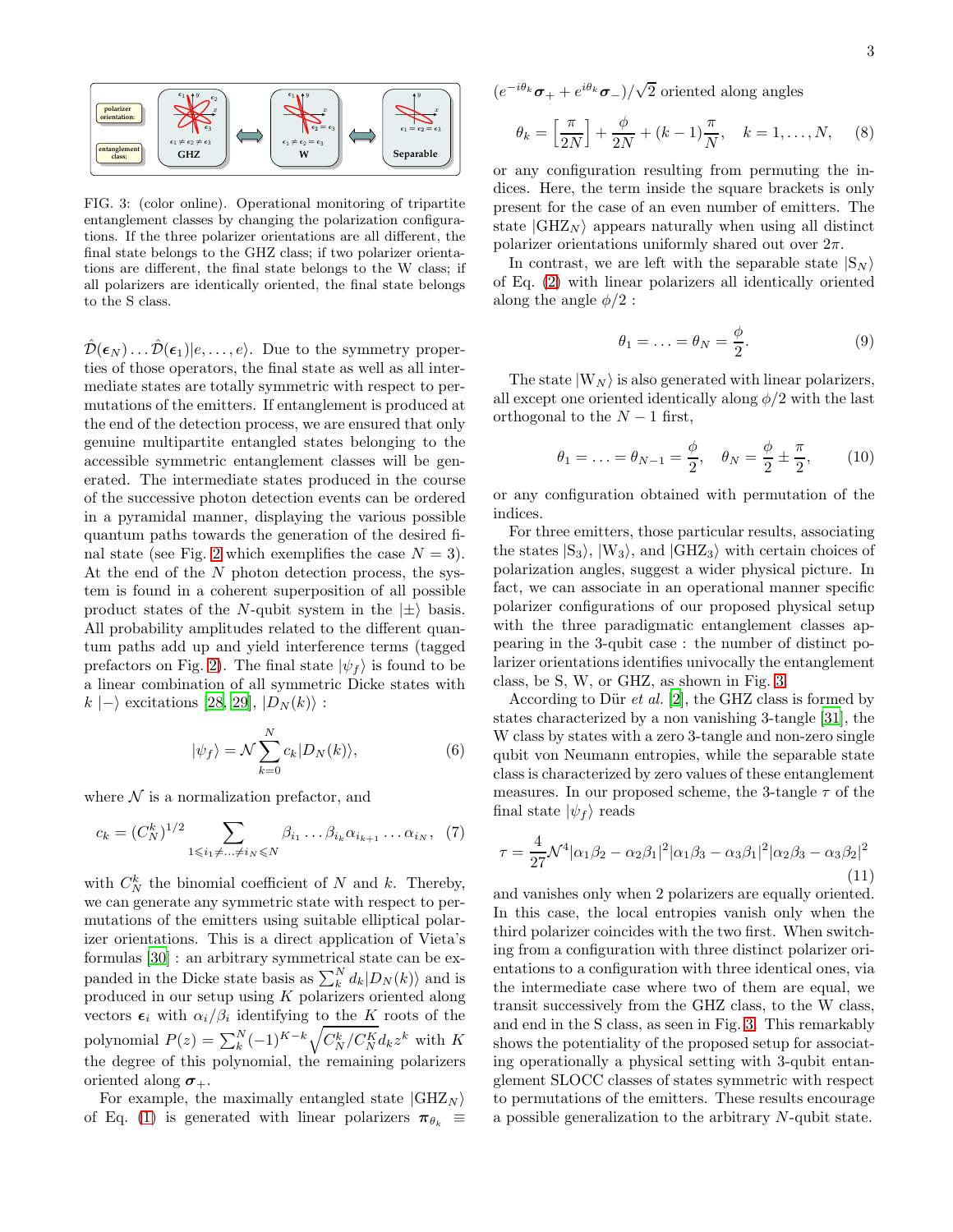<span id="page-2-0"></span>FIG. 3: (color online). Operational monitoring of tripartite entanglement classes by changing the polarization configurations. If the three polarizer orientations are all different, the final state belongs to the GHZ class; if two polarizer orientations are different, the final state belongs to the W class; if all polarizers are identically oriented, the final state belongs to the S class.

 $\hat{\mathcal{D}}(\epsilon_N) \dots \hat{\mathcal{D}}(\epsilon_1) | e, \dots, e \rangle$ . Due to the symmetry properties of those operators, the final state as well as all intermediate states are totally symmetric with respect to permutations of the emitters. If entanglement is produced at the end of the detection process, we are ensured that only genuine multipartite entangled states belonging to the accessible symmetric entanglement classes will be generated. The intermediate states produced in the course of the successive photon detection events can be ordered in a pyramidal manner, displaying the various possible quantum paths towards the generation of the desired fi-nal state (see Fig. [2](#page-1-0) which exemplifies the case  $N = 3$ ). At the end of the N photon detection process, the system is found in a coherent superposition of all possible product states of the N-qubit system in the  $|\pm\rangle$  basis. All probability amplitudes related to the different quantum paths add up and yield interference terms (tagged prefactors on Fig. [2\)](#page-1-0). The final state  $|\psi_f\rangle$  is found to be a linear combination of all symmetric Dicke states with  $k \mid -\rangle$  excitations [\[28,](#page-3-27) [29\]](#page-3-28),  $|D_N(k)\rangle$ :

$$
|\psi_f\rangle = \mathcal{N} \sum_{k=0}^{N} c_k |D_N(k)\rangle, \tag{6}
$$

where  $N$  is a normalization prefactor, and

$$
c_k = (C_N^k)^{1/2} \sum_{1 \le i_1 \ne \dots \ne i_N \le N} \beta_{i_1} \dots \beta_{i_k} \alpha_{i_{k+1}} \dots \alpha_{i_N}, \tag{7}
$$

with  $C_N^k$  the binomial coefficient of N and k. Thereby, we can generate any symmetric state with respect to permutations of the emitters using suitable elliptical polarizer orientations. This is a direct application of Vieta's formulas [\[30\]](#page-3-29) : an arbitrary symmetrical state can be expanded in the Dicke state basis as  $\sum_{k}^{N} d_k |D_N(k)\rangle$  and is produced in our setup using  $K$  polarizers oriented along vectors  $\epsilon_i$  with  $\alpha_i/\beta_i$  identifying to the K roots of the polynomial  $P(z) = \sum_{k}^{N} (-1)^{K-k} \sqrt{C_{N}^{k} / C_{N}^{K}} d_{k} z^{k}$  with K the degree of this polynomial, the remaining polarizers oriented along  $\sigma_{+}$ .

For example, the maximally entangled state  $|GHZ_N\rangle$ of Eq. [\(1\)](#page-1-1) is generated with linear polarizers  $\pi_{\theta_k} \equiv$   $(e^{-i\theta_k}\boldsymbol{\sigma}_+ + e^{i\theta_k}\boldsymbol{\sigma}_-)/\sqrt{2}$  oriented along angles

$$
\theta_k = \left[\frac{\pi}{2N}\right] + \frac{\phi}{2N} + (k-1)\frac{\pi}{N}, \quad k = 1, ..., N,
$$
 (8)

or any configuration resulting from permuting the indices. Here, the term inside the square brackets is only present for the case of an even number of emitters. The state  $|GHZ_N\rangle$  appears naturally when using all distinct polarizer orientations uniformly shared out over  $2\pi$ .

In contrast, we are left with the separable state  $|S_N\rangle$ of Eq. [\(2\)](#page-1-2) with linear polarizers all identically oriented along the angle  $\phi/2$ :

$$
\theta_1 = \ldots = \theta_N = \frac{\phi}{2}.
$$
 (9)

The state  $|W_N\rangle$  is also generated with linear polarizers, all except one oriented identically along  $\phi/2$  with the last orthogonal to the  $N-1$  first,

$$
\theta_1 = \ldots = \theta_{N-1} = \frac{\phi}{2}, \quad \theta_N = \frac{\phi}{2} \pm \frac{\pi}{2},
$$
\n(10)

or any configuration obtained with permutation of the indices.

For three emitters, those particular results, associating the states  $|S_3\rangle$ ,  $|W_3\rangle$ , and  $|GHZ_3\rangle$  with certain choices of polarization angles, suggest a wider physical picture. In fact, we can associate in an operational manner specific polarizer configurations of our proposed physical setup with the three paradigmatic entanglement classes appearing in the 3-qubit case : the number of distinct polarizer orientations identifies univocally the entanglement class, be S, W, or GHZ, as shown in Fig. [3.](#page-2-0)

According to Dür *et al.* [\[2](#page-3-1)], the GHZ class is formed by states characterized by a non vanishing 3-tangle [\[31\]](#page-3-30), the W class by states with a zero 3-tangle and non-zero single qubit von Neumann entropies, while the separable state class is characterized by zero values of these entanglement measures. In our proposed scheme, the 3-tangle  $\tau$  of the final state  $|\psi_f\rangle$  reads

$$
\tau = \frac{4}{27} \mathcal{N}^4 |\alpha_1 \beta_2 - \alpha_2 \beta_1|^2 |\alpha_1 \beta_3 - \alpha_3 \beta_1|^2 |\alpha_2 \beta_3 - \alpha_3 \beta_2|^2
$$
\n(11)

and vanishes only when 2 polarizers are equally oriented. In this case, the local entropies vanish only when the third polarizer coincides with the two first. When switching from a configuration with three distinct polarizer orientations to a configuration with three identical ones, via the intermediate case where two of them are equal, we transit successively from the GHZ class, to the W class, and end in the S class, as seen in Fig. [3.](#page-2-0) This remarkably shows the potentiality of the proposed setup for associating operationally a physical setting with 3-qubit entanglement SLOCC classes of states symmetric with respect to permutations of the emitters. These results encourage a possible generalization to the arbitrary N-qubit state.